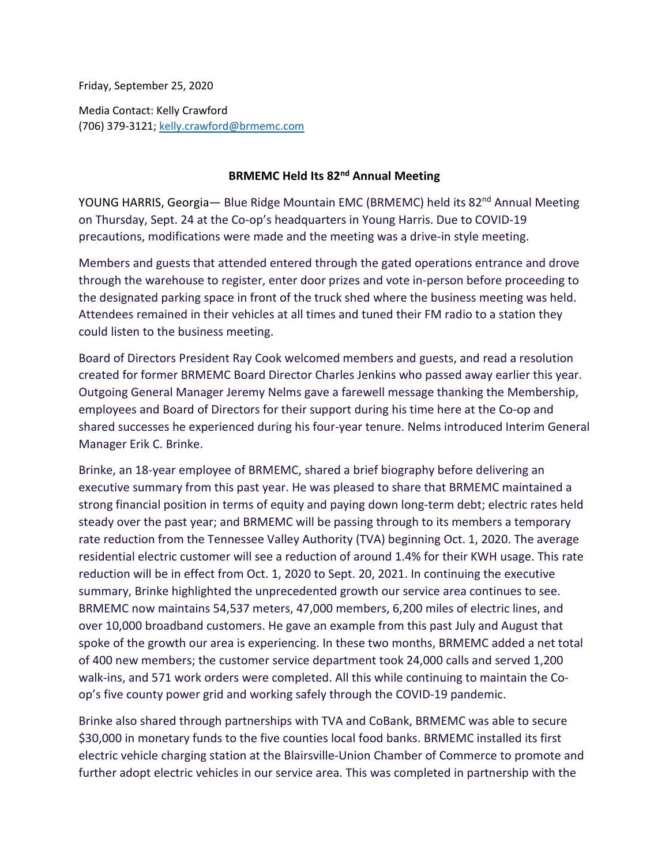Friday, September 25, 2020

Media Contact: Kelly Crawford (706) 379-3121[; kelly.crawford@brmemc.com](mailto:kelly.crawford@brmemc.com)

## **BRMEMC Held Its 82nd Annual Meeting**

YOUNG HARRIS, Georgia- Blue Ridge Mountain EMC (BRMEMC) held its 82<sup>nd</sup> Annual Meeting on Thursday, Sept. 24 at the Co-op's headquarters in Young Harris. Due to COVID-19 precautions, modifications were made and the meeting was a drive-in style meeting.

Members and guests that attended entered through the gated operations entrance and drove through the warehouse to register, enter door prizes and vote in-person before proceeding to the designated parking space in front of the truck shed where the business meeting was held. Attendees remained in their vehicles at all times and tuned their FM radio to a station they could listen to the business meeting.

Board of Directors President Ray Cook welcomed members and guests, and read a resolution created for former BRMEMC Board Director Charles Jenkins who passed away earlier this year. Outgoing General Manager Jeremy Nelms gave a farewell message thanking the Membership, employees and Board of Directors for their support during his time here at the Co-op and shared successes he experienced during his four-year tenure. Nelms introduced Interim General Manager Erik C. Brinke.

Brinke, an 18-year employee of BRMEMC, shared a brief biography before delivering an executive summary from this past year. He was pleased to share that BRMEMC maintained a strong financial position in terms of equity and paying down long-term debt; electric rates held steady over the past year; and BRMEMC will be passing through to its members a temporary rate reduction from the Tennessee Valley Authority (TVA) beginning Oct. 1, 2020. The average residential electric customer will see a reduction of around 1.4% for their KWH usage. This rate reduction will be in effect from Oct. 1, 2020 to Sept. 20, 2021. In continuing the executive summary, Brinke highlighted the unprecedented growth our service area continues to see. BRMEMC now maintains 54,537 meters, 47,000 members, 6,200 miles of electric lines, and over 10,000 broadband customers. He gave an example from this past July and August that spoke of the growth our area is experiencing. In these two months, BRMEMC added a net total of 400 new members; the customer service department took 24,000 calls and served 1,200 walk-ins, and 571 work orders were completed. All this while continuing to maintain the Coop's five county power grid and working safely through the COVID-19 pandemic.

Brinke also shared through partnerships with TVA and CoBank, BRMEMC was able to secure \$30,000 in monetary funds to the five counties local food banks. BRMEMC installed its first electric vehicle charging station at the Blairsville-Union Chamber of Commerce to promote and further adopt electric vehicles in our service area. This was completed in partnership with the